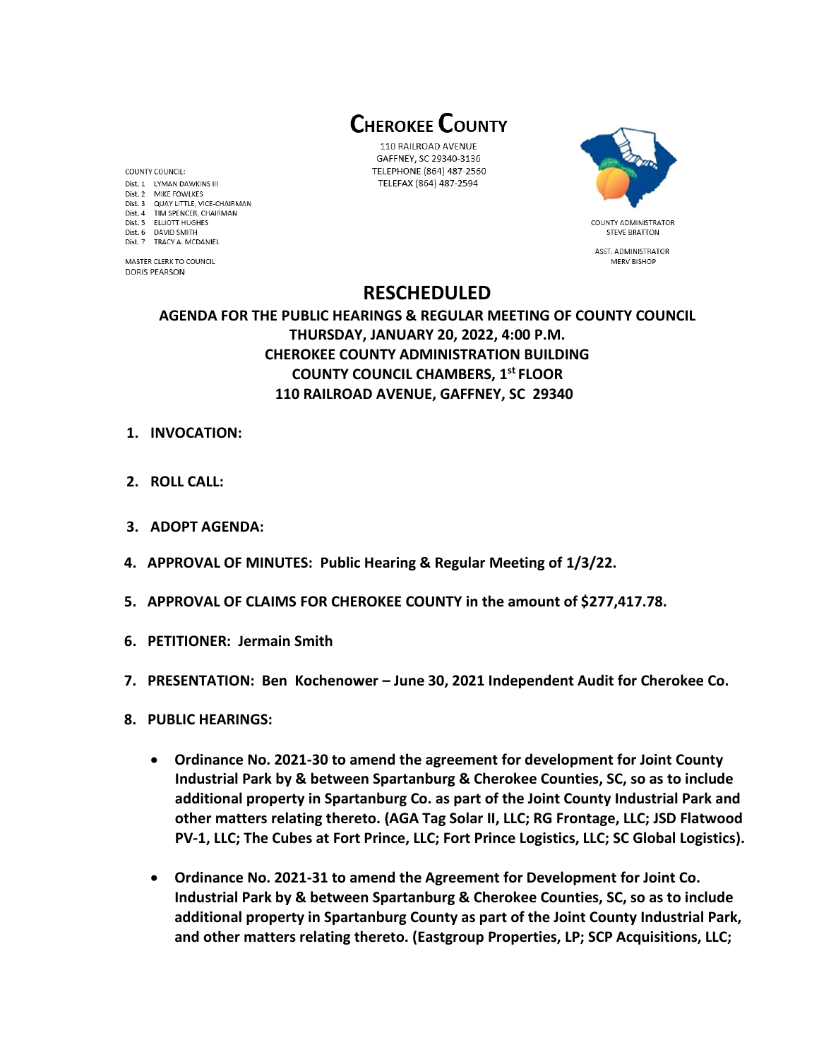**CHEROKEE COUNTY** 

110 RAILROAD AVENUE GAFFNEY, SC 29340-3136 TELEPHONE (864) 487-2560 TELEFAX (864) 487-2594



**STEVE BRATTON** ASST. ADMINISTRATOR **MERV BISHOF** 

# **RESCHEDULED**

## **AGENDA FOR THE PUBLIC HEARINGS & REGULAR MEETING OF COUNTY COUNCIL THURSDAY, JANUARY 20, 2022, 4:00 P.M. CHEROKEE COUNTY ADMINISTRATION BUILDING COUNTY COUNCIL CHAMBERS, 1 st FLOOR 110 RAILROAD AVENUE, GAFFNEY, SC 29340**

- **1. INVOCATION:**
- **2. ROLL CALL:**
- **3. ADOPT AGENDA:**
- **4. APPROVAL OF MINUTES: Public Hearing & Regular Meeting of 1/3/22.**
- **5. APPROVAL OF CLAIMS FOR CHEROKEE COUNTY in the amount of \$277,417.78.**
- **6. PETITIONER: Jermain Smith**
- **7. PRESENTATION: Ben Kochenower – June 30, 2021 Independent Audit for Cherokee Co.**
- **8. PUBLIC HEARINGS:** 
	- **Ordinance No. 2021-30 to amend the agreement for development for Joint County Industrial Park by & between Spartanburg & Cherokee Counties, SC, so as to include additional property in Spartanburg Co. as part of the Joint County Industrial Park and other matters relating thereto. (AGA Tag Solar II, LLC; RG Frontage, LLC; JSD Flatwood PV-1, LLC; The Cubes at Fort Prince, LLC; Fort Prince Logistics, LLC; SC Global Logistics).**
	- **Ordinance No. 2021-31 to amend the Agreement for Development for Joint Co. Industrial Park by & between Spartanburg & Cherokee Counties, SC, so as to include additional property in Spartanburg County as part of the Joint County Industrial Park, and other matters relating thereto. (Eastgroup Properties, LP; SCP Acquisitions, LLC;**

**COUNTY COUNCIL:** Dist. 1 LYMAN DAWKINS III Dist. 2 MIKE FOWLKES Dist. 3 QUAY LITTLE, VICE-CHAIRMAN Dist. 4 TIM SPENCER, CHAIRMAN Dist. 5 ELLIOTT HUGHES Dist. 6 DAVID SMITH Dist. 7 TRACY A. MCDANIEL

MASTER CLERK TO COUNCIL **DORIS PEARSON**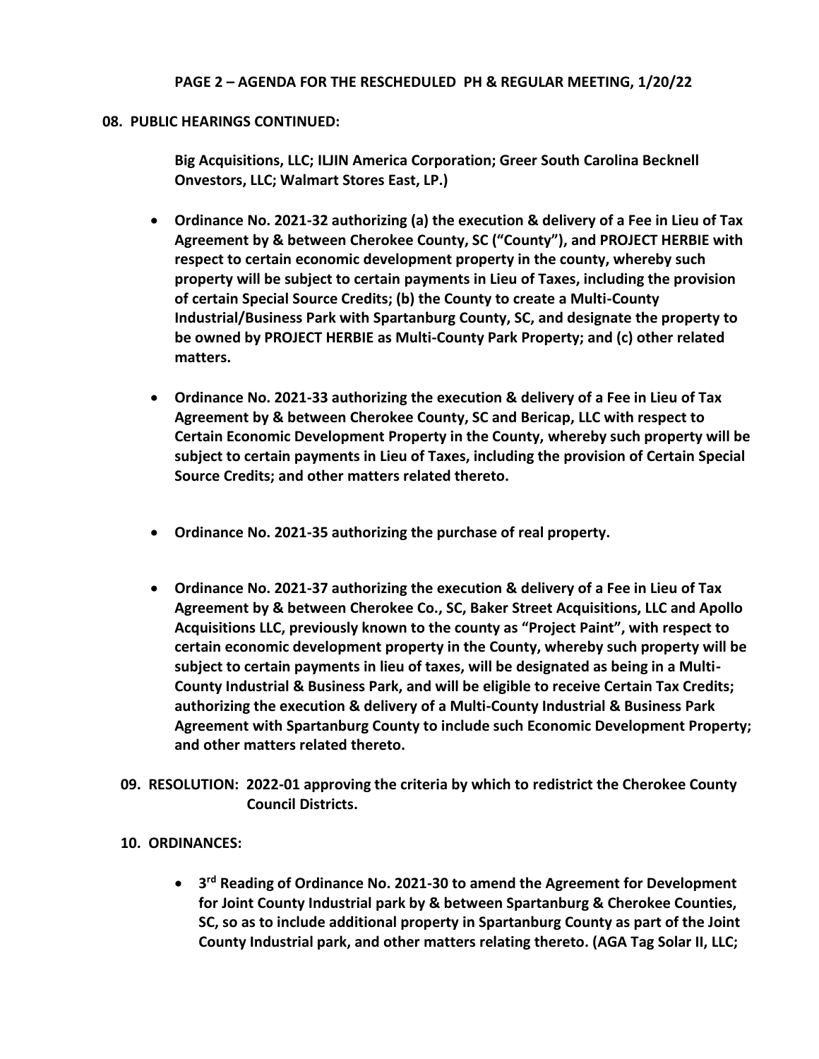### **PAGE 2 – AGENDA FOR THE RESCHEDULED PH & REGULAR MEETING, 1/20/22**

#### **08. PUBLIC HEARINGS CONTINUED:**

**Big Acquisitions, LLC; ILJIN America Corporation; Greer South Carolina Becknell Onvestors, LLC; Walmart Stores East, LP.)**

- **Ordinance No. 2021-32 authorizing (a) the execution & delivery of a Fee in Lieu of Tax Agreement by & between Cherokee County, SC ("County"), and PROJECT HERBIE with respect to certain economic development property in the county, whereby such property will be subject to certain payments in Lieu of Taxes, including the provision of certain Special Source Credits; (b) the County to create a Multi-County Industrial/Business Park with Spartanburg County, SC, and designate the property to be owned by PROJECT HERBIE as Multi-County Park Property; and (c) other related matters.**
- **Ordinance No. 2021-33 authorizing the execution & delivery of a Fee in Lieu of Tax Agreement by & between Cherokee County, SC and Bericap, LLC with respect to Certain Economic Development Property in the County, whereby such property will be subject to certain payments in Lieu of Taxes, including the provision of Certain Special Source Credits; and other matters related thereto.**
- **Ordinance No. 2021-35 authorizing the purchase of real property.**
- **Ordinance No. 2021-37 authorizing the execution & delivery of a Fee in Lieu of Tax Agreement by & between Cherokee Co., SC, Baker Street Acquisitions, LLC and Apollo Acquisitions LLC, previously known to the county as "Project Paint", with respect to certain economic development property in the County, whereby such property will be subject to certain payments in lieu of taxes, will be designated as being in a Multi-County Industrial & Business Park, and will be eligible to receive Certain Tax Credits; authorizing the execution & delivery of a Multi-County Industrial & Business Park Agreement with Spartanburg County to include such Economic Development Property; and other matters related thereto.**
- **09. RESOLUTION: 2022-01 approving the criteria by which to redistrict the Cherokee County Council Districts.**

### **10. ORDINANCES:**

• **3 rd Reading of Ordinance No. 2021-30 to amend the Agreement for Development for Joint County Industrial park by & between Spartanburg & Cherokee Counties, SC, so as to include additional property in Spartanburg County as part of the Joint County Industrial park, and other matters relating thereto. (AGA Tag Solar II, LLC;**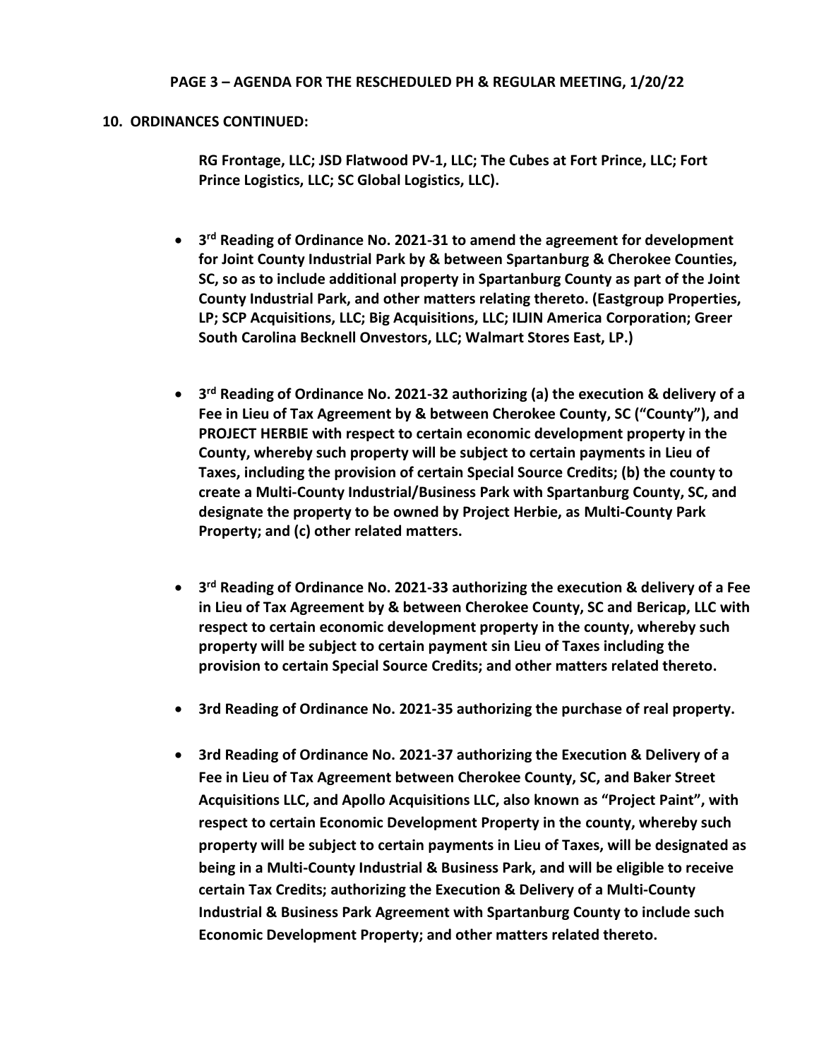#### **PAGE 3 – AGENDA FOR THE RESCHEDULED PH & REGULAR MEETING, 1/20/22**

#### **10. ORDINANCES CONTINUED:**

**RG Frontage, LLC; JSD Flatwood PV-1, LLC; The Cubes at Fort Prince, LLC; Fort Prince Logistics, LLC; SC Global Logistics, LLC).**

- **3 rd Reading of Ordinance No. 2021-31 to amend the agreement for development for Joint County Industrial Park by & between Spartanburg & Cherokee Counties, SC, so as to include additional property in Spartanburg County as part of the Joint County Industrial Park, and other matters relating thereto. (Eastgroup Properties, LP; SCP Acquisitions, LLC; Big Acquisitions, LLC; ILJIN America Corporation; Greer South Carolina Becknell Onvestors, LLC; Walmart Stores East, LP.)**
- **3 rd Reading of Ordinance No. 2021-32 authorizing (a) the execution & delivery of a Fee in Lieu of Tax Agreement by & between Cherokee County, SC ("County"), and PROJECT HERBIE with respect to certain economic development property in the County, whereby such property will be subject to certain payments in Lieu of Taxes, including the provision of certain Special Source Credits; (b) the county to create a Multi-County Industrial/Business Park with Spartanburg County, SC, and designate the property to be owned by Project Herbie, as Multi-County Park Property; and (c) other related matters.**
- **3 rd Reading of Ordinance No. 2021-33 authorizing the execution & delivery of a Fee in Lieu of Tax Agreement by & between Cherokee County, SC and Bericap, LLC with respect to certain economic development property in the county, whereby such property will be subject to certain payment sin Lieu of Taxes including the provision to certain Special Source Credits; and other matters related thereto.**
- **3rd Reading of Ordinance No. 2021-35 authorizing the purchase of real property.**
- **3rd Reading of Ordinance No. 2021-37 authorizing the Execution & Delivery of a Fee in Lieu of Tax Agreement between Cherokee County, SC, and Baker Street Acquisitions LLC, and Apollo Acquisitions LLC, also known as "Project Paint", with respect to certain Economic Development Property in the county, whereby such property will be subject to certain payments in Lieu of Taxes, will be designated as being in a Multi-County Industrial & Business Park, and will be eligible to receive certain Tax Credits; authorizing the Execution & Delivery of a Multi-County Industrial & Business Park Agreement with Spartanburg County to include such Economic Development Property; and other matters related thereto.**